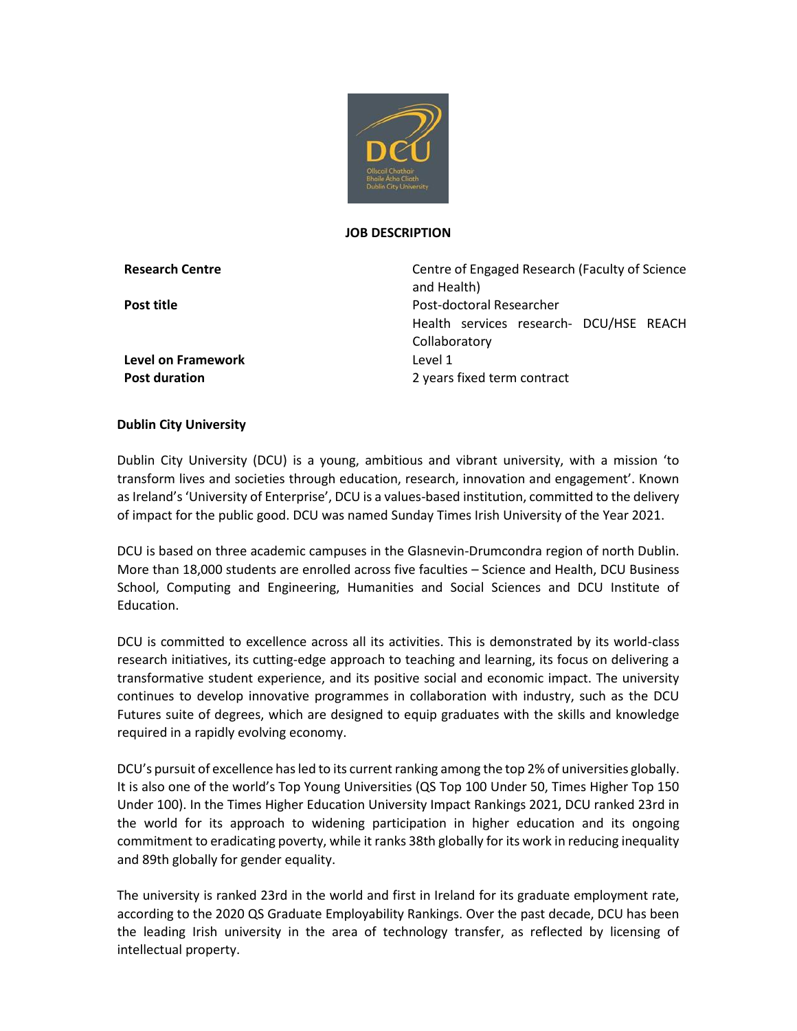

#### **JOB DESCRIPTION**

**Research Centre** Centre Centre of Engaged Research (Faculty of Science and Health) **Post title** Post-doctoral Researcher Health services research- DCU/HSE REACH **Collaboratory Post duration** 2 years fixed term contract

**Level on Framework** Level 1

## **Dublin City University**

Dublin City University (DCU) is a young, ambitious and vibrant university, with a mission 'to transform lives and societies through education, research, innovation and engagement'. Known as Ireland's 'University of Enterprise', DCU is a values-based institution, committed to the delivery of impact for the public good. DCU was named Sunday Times Irish University of the Year 2021.

DCU is based on three academic campuses in the Glasnevin-Drumcondra region of north Dublin. More than 18,000 students are enrolled across five faculties – Science and Health, DCU Business School, Computing and Engineering, Humanities and Social Sciences and DCU Institute of Education.

DCU is committed to excellence across all its activities. This is demonstrated by its world-class research initiatives, its cutting-edge approach to teaching and learning, its focus on delivering a transformative student experience, and its positive social and economic impact. The university continues to develop innovative programmes in collaboration with industry, such as the DCU Futures suite of degrees, which are designed to equip graduates with the skills and knowledge required in a rapidly evolving economy.

DCU's pursuit of excellence has led to its current ranking among the top 2% of universities globally. It is also one of the world's Top Young Universities (QS Top 100 Under 50, Times Higher Top 150 Under 100). In the Times Higher Education University Impact Rankings 2021, DCU ranked 23rd in the world for its approach to widening participation in higher education and its ongoing commitment to eradicating poverty, while it ranks 38th globally for its work in reducing inequality and 89th globally for gender equality.

The university is ranked 23rd in the world and first in Ireland for its graduate employment rate, according to the 2020 QS Graduate Employability Rankings. Over the past decade, DCU has been the leading Irish university in the area of technology transfer, as reflected by licensing of intellectual property.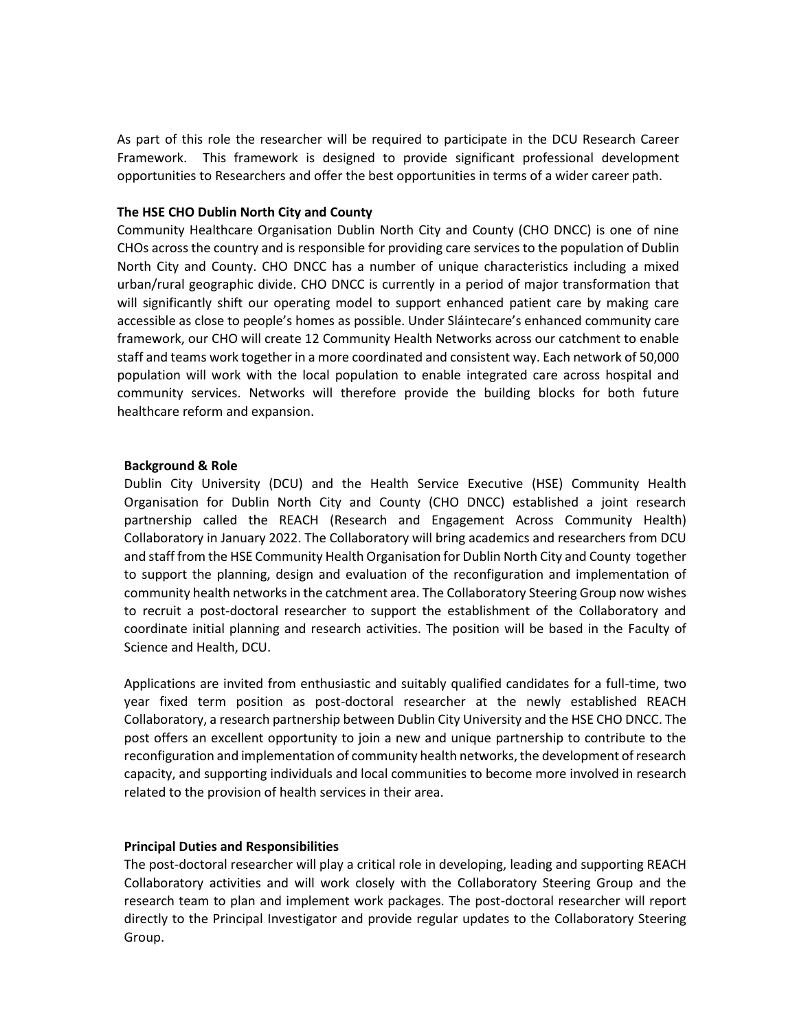As part of this role the researcher will be required to participate in the DCU Research Career Framework. This framework is designed to provide significant professional development opportunities to Researchers and offer the best opportunities in terms of a wider career path.

### **The HSE CHO Dublin North City and County**

Community Healthcare Organisation Dublin North City and County (CHO DNCC) is one of nine CHOs across the country and is responsible for providing care services to the population of Dublin North City and County. CHO DNCC has a number of unique characteristics including a mixed urban/rural geographic divide. CHO DNCC is currently in a period of major transformation that will significantly shift our operating model to support enhanced patient care by making care accessible as close to people's homes as possible. Under Sláintecare's enhanced community care framework, our CHO will create 12 Community Health Networks across our catchment to enable staff and teams work together in a more coordinated and consistent way. Each network of 50,000 population will work with the local population to enable integrated care across hospital and community services. Networks will therefore provide the building blocks for both future healthcare reform and expansion.

#### **Background & Role**

Dublin City University (DCU) and the Health Service Executive (HSE) Community Health Organisation for Dublin North City and County (CHO DNCC) established a joint research partnership called the REACH (Research and Engagement Across Community Health) Collaboratory in January 2022. The Collaboratory will bring academics and researchers from DCU and staff from the HSE Community Health Organisation for Dublin North City and County together to support the planning, design and evaluation of the reconfiguration and implementation of community health networks in the catchment area. The Collaboratory Steering Group now wishes to recruit a post-doctoral researcher to support the establishment of the Collaboratory and coordinate initial planning and research activities. The position will be based in the Faculty of Science and Health, DCU.

Applications are invited from enthusiastic and suitably qualified candidates for a full-time, two year fixed term position as post-doctoral researcher at the newly established REACH Collaboratory, a research partnership between Dublin City University and the HSE CHO DNCC. The post offers an excellent opportunity to join a new and unique partnership to contribute to the reconfiguration and implementation of community health networks, the development of research capacity, and supporting individuals and local communities to become more involved in research related to the provision of health services in their area.

#### **Principal Duties and Responsibilities**

The post-doctoral researcher will play a critical role in developing, leading and supporting REACH Collaboratory activities and will work closely with the Collaboratory Steering Group and the research team to plan and implement work packages. The post-doctoral researcher will report directly to the Principal Investigator and provide regular updates to the Collaboratory Steering Group.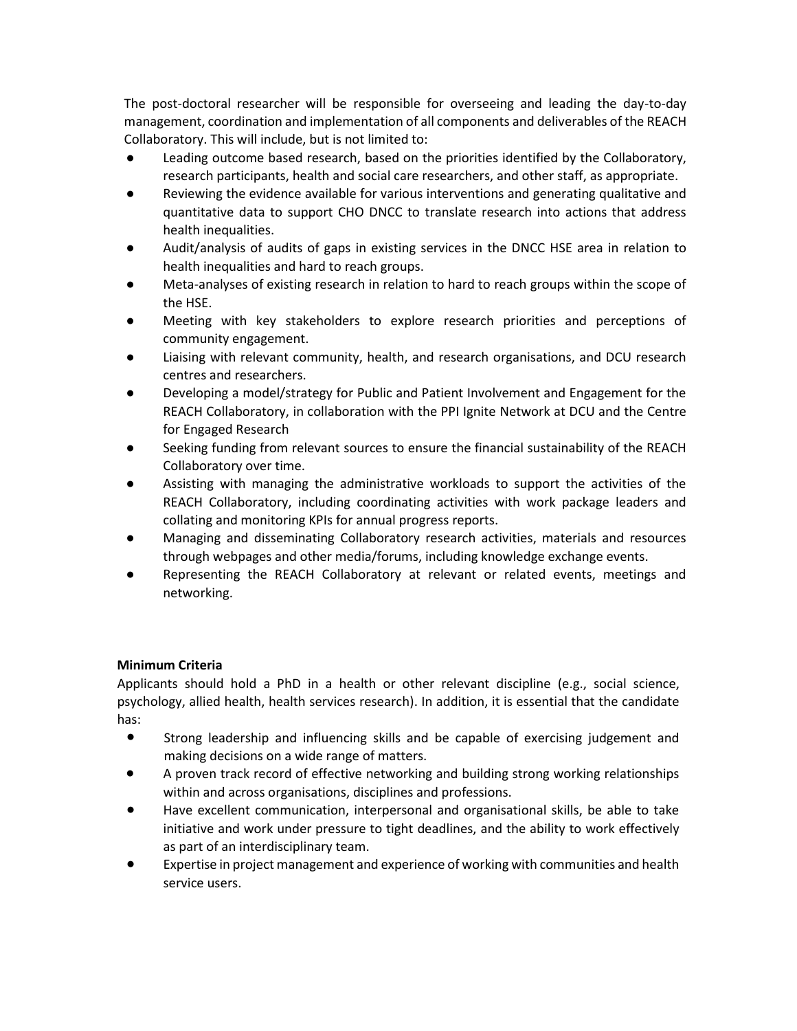The post-doctoral researcher will be responsible for overseeing and leading the day-to-day management, coordination and implementation of all components and deliverables of the REACH Collaboratory. This will include, but is not limited to:

- Leading outcome based research, based on the priorities identified by the Collaboratory, research participants, health and social care researchers, and other staff, as appropriate.
- Reviewing the evidence available for various interventions and generating qualitative and quantitative data to support CHO DNCC to translate research into actions that address health inequalities.
- Audit/analysis of audits of gaps in existing services in the DNCC HSE area in relation to health inequalities and hard to reach groups.
- Meta-analyses of existing research in relation to hard to reach groups within the scope of the HSE.
- Meeting with key stakeholders to explore research priorities and perceptions of community engagement.
- Liaising with relevant community, health, and research organisations, and DCU research centres and researchers.
- Developing a model/strategy for Public and Patient Involvement and Engagement for the REACH Collaboratory, in collaboration with the PPI Ignite Network at DCU and the Centre for Engaged Research
- Seeking funding from relevant sources to ensure the financial sustainability of the REACH Collaboratory over time.
- Assisting with managing the administrative workloads to support the activities of the REACH Collaboratory, including coordinating activities with work package leaders and collating and monitoring KPIs for annual progress reports.
- Managing and disseminating Collaboratory research activities, materials and resources through webpages and other media/forums, including knowledge exchange events.
- Representing the REACH Collaboratory at relevant or related events, meetings and networking.

# **Minimum Criteria**

Applicants should hold a PhD in a health or other relevant discipline (e.g., social science, psychology, allied health, health services research). In addition, it is essential that the candidate has:

- Strong leadership and influencing skills and be capable of exercising judgement and making decisions on a wide range of matters.
- A proven track record of effective networking and building strong working relationships within and across organisations, disciplines and professions.
- Have excellent communication, interpersonal and organisational skills, be able to take initiative and work under pressure to tight deadlines, and the ability to work effectively as part of an interdisciplinary team.
- Expertise in project management and experience of working with communities and health service users.